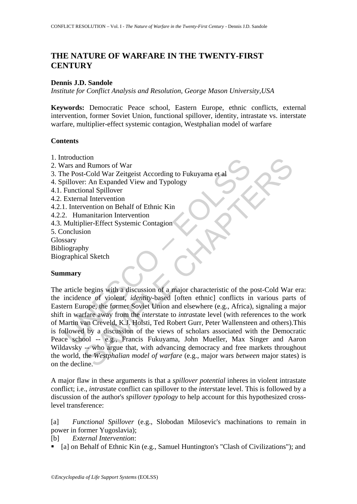# **THE NATURE OF WARFARE IN THE TWENTY-FIRST CENTURY**

### **Dennis J.D. Sandole**

*Institute for Conflict Analysis and Resolution, George Mason University,USA* 

**Keywords:** Democratic Peace school, Eastern Europe, ethnic conflicts, external intervention, former Soviet Union, functional spillover, identity, intrastate vs. interstate warfare, multiplier-effect systemic contagion, Westphalian model of warfare

### **Contents**

- 1. Introduction
- Irlandicularian<br>
Vars and Rumors of War<br>
Years and Rumors of War<br>
pillover: An Expanded View and Typology<br>
Functional Spillover<br>
External Intervention<br>
1. Intervention on Behalf of Ethnic Kin<br>
2. Humanitarion Intervention<br> 2. Wars and Rumors of War 3. The Post-Cold War Zeitgeist According to Fukuyama et al 4. Spillover: An Expanded View and Typology 4.1. Functional Spillover 4.2. External Intervention 4.2.1. Intervention on Behalf of Ethnic Kin 4.2.2. Humanitarion Intervention 4.3. Multiplier-Effect Systemic Contagion 5. Conclusion Glossary Bibliography Biographical Sketch

#### **Summary**

to a<br>
d Rumors of War<br>
c-Cold War Zeitgeist According to Fukuyama et al<br>
cr. An Expanded View and Typology<br>
al Shilover<br>
al Intervention<br>
al Intervention<br>
al Intervention<br>
al Intervention<br>
al Intervention<br>
or end and Typol The article begins with a discussion of a major characteristic of the post-Cold War era: the incidence of violent, *identity*-based [often ethnic] conflicts in various parts of Eastern Europe, the former Soviet Union and elsewhere (e.g., Africa), signaling a major shift in warfare away from the *inter*state to *intra*state level (with references to the work of Martin van Creveld, K.J. Holsti, Ted Robert Gurr, Peter Wallensteen and others).This is followed by a discussion of the views of scholars associated with the Democratic Peace school -- e.g., Francis Fukuyama, John Mueller, Max Singer and Aaron Wildavsky -- who argue that, with advancing democracy and free markets throughout the world, the *Westphalian model of warfare* (e.g., major wars *between* major states) is on the decline.

A major flaw in these arguments is that a *spillover potential* inheres in violent intrastate conflict; i.e., *intra*state conflict can spillover to the *inter*state level. This is followed by a discussion of the author's *spillover typology* to help account for this hypothesized crosslevel transference:

[a] *Functional Spillover* (e.g., Slobodan Milosevic's machinations to remain in power in former Yugoslavia);

[b] *External Intervention*:

• [a] on Behalf of Ethnic Kin (e.g., Samuel Huntington's "Clash of Civilizations"); and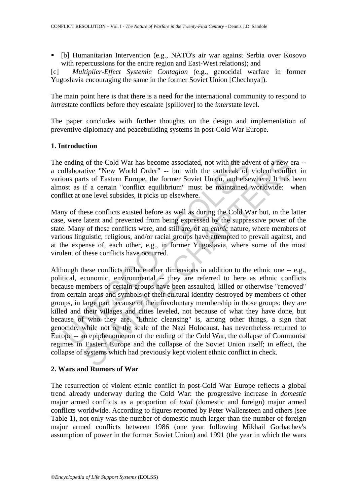[b] Humanitarian Intervention (e.g., NATO's air war against Serbia over Kosovo with repercussions for the entire region and East-West relations); and

[c] *Multiplier-Effect Systemic Contagion* (e.g., genocidal warfare in former Yugoslavia encouraging the same in the former Soviet Union [Chechnya]).

The main point here is that there is a need for the international community to respond to *intra*state conflicts before they escalate [spillover] to the *inter*state level.

The paper concludes with further thoughts on the design and implementation of preventive diplomacy and peacebuilding systems in post-Cold War Europe.

## **1. Introduction**

The ending of the Cold War has become associated, not with the advent of a new era - a collaborative "New World Order" -- but with the outbreak of violent conflict in various parts of Eastern Europe, the former Soviet Union, and elsewhere. It has been almost as if a certain "conflict equilibrium" must be maintained worldwide: when conflict at one level subsides, it picks up elsewhere.

Many of these conflicts existed before as well as during the Cold War but, in the latter case, were latent and prevented from being expressed by the suppressive power of the state. Many of these conflicts were, and still are, of an *ethnic* nature, where members of various linguistic, religious, and/or racial groups have attempted to prevail against, and at the expense of, each other, e.g., in former Yugoslavia, where some of the most virulent of these conflicts have occurred.

ending of the Cold War has become associated, not with the advilaborative "New World Order" -- but with the outbreak of ous parts of Eastern Europe, the former Soviet Union, and else<br>ost as if a certain "conflict equilibr the Cold War has become associated, not with the advent of a new ex-<br>traitive "New World Order" -- but with the outbreak of violent conflict<br>ris of Eastern Europe, the former Soviet Union, and elsewhere. It has it<br>for a Ea Although these conflicts include other dimensions in addition to the ethnic one -- e.g., political, economic, environmental -- they are referred to here as ethnic conflicts because members of certain groups have been assaulted, killed or otherwise "removed" from certain areas and symbols of their cultural identity destroyed by members of other groups, in large part because of their involuntary membership in those groups: they are killed and their villages and cities leveled, not because of what they have done, but because of who they are. "Ethnic cleansing" is, among other things, a sign that genocide, while not on the scale of the Nazi Holocaust, has nevertheless returned to Europe -- an epiphenomenon of the ending of the Cold War, the collapse of Communist regimes in Eastern Europe and the collapse of the Soviet Union itself; in effect, the collapse of systems which had previously kept violent ethnic conflict in check.

#### **2. Wars and Rumors of War**

The resurrection of violent ethnic conflict in post-Cold War Europe reflects a global trend already underway during the Cold War: the progressive increase in *domestic* major armed conflicts as a proportion of *total* (domestic and foreign) major armed conflicts worldwide. According to figures reported by Peter Wallensteen and others (see Table 1), not only was the number of domestic much larger than the number of foreign major armed conflicts between 1986 (one year following Mikhail Gorbachev's assumption of power in the former Soviet Union) and 1991 (the year in which the wars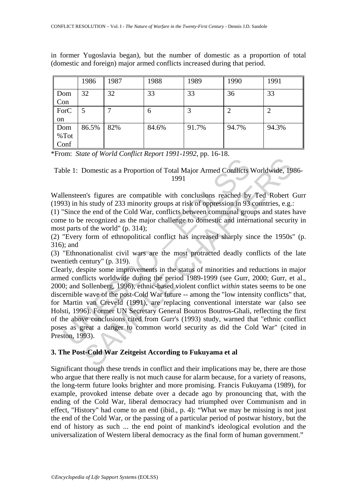|      | 1986  | 1987 | 1988         | 1989  | 1990  | 1991           |
|------|-------|------|--------------|-------|-------|----------------|
| Dom  | 32    | 32   | 33           | 33    | 36    | 33             |
| Con  |       |      |              |       |       |                |
| ForC |       |      | <sub>0</sub> |       | 2     | $\overline{2}$ |
| on   |       |      |              |       |       |                |
| Dom  | 86.5% | 82%  | 84.6%        | 91.7% | 94.7% | 94.3%          |
| %Tot |       |      |              |       |       |                |
| Conf |       |      |              |       |       |                |

in former Yugoslavia began), but the number of domestic as a proportion of total (domestic and foreign) major armed conflicts increased during that period.

\*From: *State of World Conflict Report 1991-1992*, pp. 16-18.

Table 1: Domestic as a Proportion of Total Major Armed Conflicts Worldwide, 1986- 1991

Wallensteen's figures are compatible with conclusions reached by Ted Robert Gurr (1993) in his study of 233 minority groups at risk of oppression in 93 countries, e.g.:

(1) "Since the end of the Cold War, conflicts between communal groups and states have come to be recognized as the major challenge to domestic and international security in most parts of the world" (p. 314);

(2) "Every form of ethnopolitical conflict has increased sharply since the 1950s" (p. 316); and

(3) "Ethnonationalist civil wars are the most protracted deadly conflicts of the late twentieth century" (p. 319).

ble 1: Domestic as a Proportion of Total Major Armed Conflicts<br>
1991<br>
lensteen's figures are compatible with conclusions reached by<br>
1991<br>
lensteen's figures are compatible with conclusions reached by<br>
This study of 233 mi Domestic as a Proportion of Total Major Armed Conflicts Worldwide, 19<br>
1991<br>
1991<br>
1991<br>
1991<br>
1991<br>
1991<br>
1991<br>
1991<br>
1991<br>
1991<br>
1991<br>
1991<br>
1991<br>
1991<br>
2001 War, conflicts between communal groups and states level<br>
1992<br> Clearly, despite some improvements in the status of minorities and reductions in major armed conflicts worldwide during the period 1989-1999 (see Gurr, 2000; Gurr, et al., 2000; and Sollenberg, 1996), ethnic-based violent conflict *within* states seems to be one discernible wave of the post-Cold War future -- among the "low intensity conflicts" that, for Martin van Creveld (1991), are replacing conventional interstate war (also see Holsti, 1996). Former UN Secretary General Boutros Boutros-Ghali, reflecting the first of the above conclusions cited from Gurr's (1993) study, warned that "ethnic conflict poses as great a danger to common world security as did the Cold War" (cited in Preston, 1993).

#### **3. The Post-Cold War Zeitgeist According to Fukuyama et al**

Significant though these trends in conflict and their implications may be, there are those who argue that there really is not much cause for alarm because, for a variety of reasons, the long-term future looks brighter and more promising. Francis Fukuyama (1989), for example, provoked intense debate over a decade ago by pronouncing that, with the ending of the Cold War, liberal democracy had triumphed over Communism and in effect, "History" had come to an end (ibid., p. 4): "What we may be missing is not just the end of the Cold War, or the passing of a particular period of postwar history, but the end of history as such ... the end point of mankind's ideological evolution and the universalization of Western liberal democracy as the final form of human government."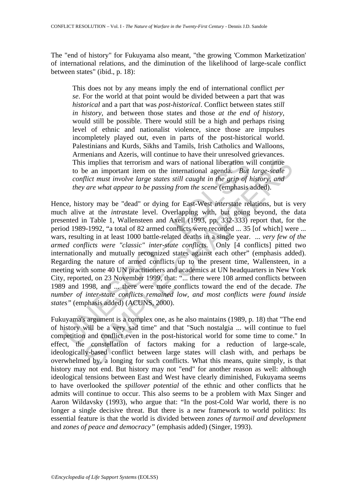The "end of history" for Fukuyama also meant, "the growing 'Common Marketization' of international relations, and the diminution of the likelihood of large-scale conflict between states" (ibid., p. 18):

This does not by any means imply the end of international conflict *per se*. For the world at that point would be divided between a part that was *historical* and a part that was *post-historical*. Conflict between states *still in history*, and between those states and those *at the end of history*, would still be possible. There would still be a high and perhaps rising level of ethnic and nationalist violence, since those are impulses incompletely played out, even in parts of the post-historical world. Palestinians and Kurds, Sikhs and Tamils, Irish Catholics and Walloons, Armenians and Azeris, will continue to have their unresolved grievances. This implies that terrorism and wars of national liberation will continue to be an important item on the international agenda. *But large-scale conflict must involve large states still caught in the grip of history, and they are what appear to be passing from the scene* (emphasis added).

This implies that terrorism and wars of national liberation w<br>to be an important item on the international agenda. *But*<br>conflict must involve large states still caught in the grip of *k*<br>they are what appear to be passin is implies that terrorism and wars of national liberation will continue be an important tiem on the international agenda. *But large-scale flict must involve large states still caught in the grip of history, and or are wh* Hence, history may be "dead" or dying for East-West *inter*state relations, but is very much alive at the *intrastate* level. Overlapping with, but going beyond, the data presented in Table 1, Wallensteen and Axell (1993, pp. 332-333) report that, for the period 1989-1992, "a total of 82 armed conflicts were recorded ... 35 [of which] were ... wars, resulting in at least 1000 battle-related deaths in a single year. ... *very few of the armed conflicts were "classic" inter-state conflicts.* Only [4 conflicts] pitted two internationally and mutually recognized states against each other" (emphasis added). Regarding the nature of armed conflicts up to the present time, Wallensteen, in a meeting with some 40 UN practitioners and academics at UN headquarters in New York City, reported, on 23 November 1999, that: "... there were 108 armed conflicts between 1989 and 1998, and ... there were more conflicts toward the end of the decade. *The number of inter-state conflicts remained low, and most conflicts were found inside states"* (emphasis added) (ACUNS, 2000).

Fukuyama's argument is a complex one, as he also maintains (1989, p. 18) that "The end of history will be a very sad time" and that "Such nostalgia ... will continue to fuel competition and conflict even in the post-historical world for some time to come." In effect, the constellation of factors making for a reduction of large-scale, ideologically-based conflict between large states will clash with, and perhaps be overwhelmed by, a longing for such conflicts. What this means, quite simply, is that history may not end. But history may not "end" for another reason as well: although ideological tensions between East and West have clearly diminished, Fukuyama seems to have overlooked the *spillover potential* of the ethnic and other conflicts that he admits will continue to occur. This also seems to be a problem with Max Singer and Aaron Wildavsky (1993), who argue that: "In the post-Cold War world, there is no longer a single decisive threat. But there is a new framework to world politics: Its essential feature is that the world is divided between *zones of turmoil and development* and *zones of peace and democracy"* (emphasis added) (Singer, 1993).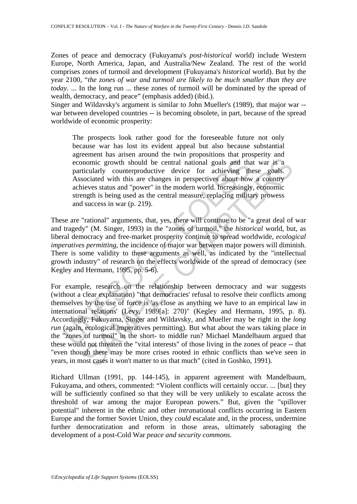Zones of peace and democracy (Fukuyama's *post-historical* world) include Western Europe, North America, Japan, and Australia/New Zealand. The rest of the world comprises zones of turmoil and development (Fukuyama's *historical* world). But by the year 2100, "*the zones of war and turmoil are likely to be much smaller than they are today.* ... In the long run ... these zones of turmoil will be dominated by the spread of wealth, democracy, and peace" (emphasis added) (ibid.).

Singer and Wildavsky's argument is similar to John Mueller's (1989), that major war - war between developed countries -- is becoming obsolete, in part, because of the spread worldwide of economic prosperity:

The prospects look rather good for the foreseeable future not only because war has lost its evident appeal but also because substantial agreement has arisen around the twin propositions that prosperity and economic growth should be central national goals and that war is a particularly counterproductive device for achieving these goals. Associated with this are changes in perspectives about how a country achieves status and "power" in the modern world. Increasingly, economic strength is being used as the central measure, replacing military prowess and success in war (p. 219).

These are "rational" arguments, that, yes, there will continue to be "a great deal of war and tragedy" (M. Singer, 1993) in the "zones of turmoil," the *historical* world, but, as liberal democracy and free-market prosperity continue to spread worldwide, *ecological imperatives permitting*, the incidence of major war between major powers will diminish. There is some validity to these arguments as well, as indicated by the "intellectual growth industry" of research on the effects worldwide of the spread of democracy (see Kegley and Hermann, 1995, pp. 5-6).

economic growth should be central national goals and tha<br>particularly counterproductive device for achieving th<br>Associated with this are changes in perspectives about how<br>achieves status and "power" in the modern world. In nomic growth should be central national goals and that war is a<br>incularly counterproductive device for achieving these goals.<br>Cocial with this are changes in perspectives about how a country<br>ieves status and "power" in the For example, research on the relationship between democracy and war suggests (without a clear explanation) "that democracies' refusal to resolve their conflicts among themselves by the use of force is 'as close as anything we have to an empirical law in international relations' (Levy, 1989[a]: 270)" (Kegley and Hermann, 1995, p. 8). Accordingly, Fukuyama, Singer and Wildavsky, and Mueller may be right in the *long run* (again, ecological imperatives permitting). But what about the wars taking place in the "zones of turmoil" in the short- to middle run? Michael Mandelbaum argued that these would not threaten the "vital interests" of those living in the zones of peace -- that "even though there may be more crises rooted in ethnic conflicts than we've seen in years, in most cases it won't matter to us that much" (cited in Goshko, 1991).

Richard Ullman (1991, pp. 144-145), in apparent agreement with Mandelbaum, Fukuyama, and others, commented: "Violent conflicts will certainly occur. ... [but] they will be sufficiently confined so that they will be very unlikely to escalate across the threshold of war among the major European powers." But, given the "spillover potential" inherent in the ethnic and other *intra*national conflicts occurring in Eastern Europe and the former Soviet Union, they *could* escalate and, in the process, undermine further democratization and reform in those areas, ultimately sabotaging the development of a post-Cold War *peace and security commons*.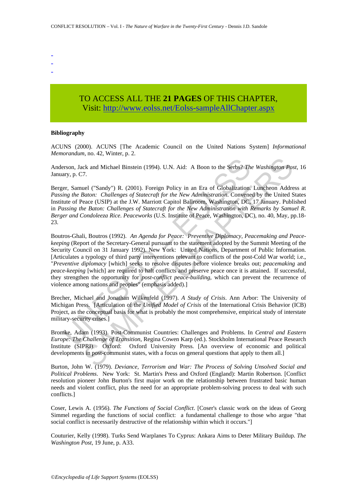- -
- -
- -

## TO ACCESS ALL THE **21 PAGES** OF THIS CHAPTER, Visit[: http://www.eolss.net/Eolss-sampleAllChapter.aspx](https://www.eolss.net/ebooklib/sc_cart.aspx?File=E1-40-01-04)

#### **Bibliography**

ACUNS (2000). ACUNS [The Academic Council on the United Nations System] *Informational Memorandum*, no. 42, Winter, p. 2.

Anderson, Jack and Michael Binstein (1994). U.N. Aid: A Boon to the Serbs? *The Washington Post*, 16 January, p. C7.

Berger, Samuel ("Sandy") R. (2001). Foreign Policy in an Era of Globalization. Luncheon Address at *Passing the Baton: Challenges of Statecraft for the New Administration*. Convened by the United States Institute of Peace (USIP) at the J.W. Marriott Capitol Ballroom, Washington, DC, 17 January. Published in *Passing the Baton: Challenges of Statecraft for the New Administration with Remarks by Samuel R. Berger and Condoleeza Rice*. *Peaceworks* (U.S. Institute of Peace, Washington, DC), no. 40, May, pp.18- 23.

erson, Jack and Michael Binstein (1994). U.N. Aid: A Boon to the Serbs? Thay, p. C7.<br>
er, Samuel ("Sandy") R. (2001). Foreign Policy in an Era of Globalization.<br>
er, Samuel ("Sandy") R. (2001). Foreign Policy in an Era of ck and Michael Binstein (1994). U.N. Aid: A Boon to the Serbs? The Washington Po:<br>7.<br>
Tel ("Sandy") R. (2001). Foreign Policy in an Era of Globalization. Luncheon Addre<br>
Baton: Challenges of Statecraft for the New Adminis Boutros-Ghali, Boutros (1992). *An Agenda for Peace: Preventive Diplomacy, Peacemaking and Peacekeeping* (Report of the Secretary-General pursuant to the statement adopted by the Summit Meeting of the Security Council on 31 January 1992). New York: United Nations, Department of Public Information. [Articulates a typology of third party interventions relevant to conflicts of the post-Cold War world; i.e., "*Preventive diplomacy* [which] seeks to resolve disputes before violence breaks out; *peacemaking* and *peace-keeping* [which] are required to halt conflicts and preserve peace once it is attained. If successful, they strengthen the opportunity for *post-conflict peace-building*, which can prevent the recurrence of violence among nations and peoples" (emphasis added).]

Brecher, Michael and Jonathan Wilkenfeld (1997). *A Study of Crisis*. Ann Arbor: The University of Michigan Press. [Articulation of the *Unified Model of Crisis* of the International Crisis Behavior (ICB) Project, as the conceptual basis for what is probably the most comprehensive, empirical study of interstate military-security crises.]

Bromke, Adam (1993). Post-Communist Countries: Challenges and Problems. In *Central and Eastern Europe: The Challenge of Transition*, Regina Cowen Karp (ed.). Stockholm International Peace Research Institute (SIPRI). Oxford: Oxford University Press. [An overview of economic and political developments in post-communist states, with a focus on general questions that apply to them all.]

Burton, John W. (1979). *Deviance, Terrorism and War: The Process of Solving Unsolved Social and Political Problems*. New York: St. Martin's Press and Oxford (England): Martin Robertson. [Conflict resolution pioneer John Burton's first major work on the relationship between frustrated basic human needs and violent conflict, plus the need for an appropriate problem-solving process to deal with such conflicts.]

Coser, Lewis A. (1956). *The Functions of Social Conflict*. [Coser's classic work on the ideas of Georg Simmel regarding the functions of social conflict: a fundamental challenge to those who argue "that social conflict is necessarily destructive of the relationship within which it occurs."]

Couturier, Kelly (1998). Turks Send Warplanes To Cyprus: Ankara Aims to Deter Military Buildup. *The Washington Post*, 19 June, p. A33.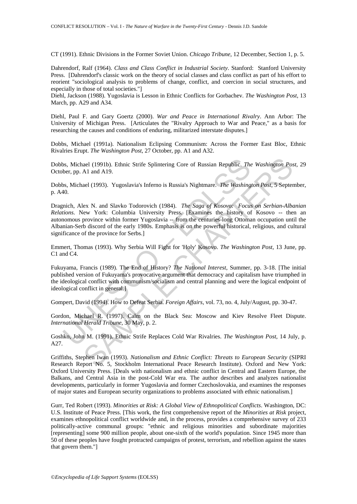CT (1991). Ethnic Divisions in the Former Soviet Union. *Chicago Tribune*, 12 December, Section 1, p. 5.

Dahrendorf, Ralf (1964). *Class and Class Conflict in Industrial Society*. Stanford: Stanford University Press. [Dahrendorf's classic work on the theory of social classes and class conflict as part of his effort to reorient "sociological analysis to problems of change, conflict, and coercion in social structures, and especially in those of total societies."]

Diehl, Jackson (1988). Yugoslavia is Lesson in Ethnic Conflicts for Gorbachev. *The Washington Post*, 13 March, pp. A29 and A34.

Diehl, Paul F. and Gary Goertz (2000). *War and Peace in International Rivalry*. Ann Arbor: The University of Michigan Press. [Articulates the "Rivalry Approach to War and Peace," as a basis for researching the causes and conditions of enduring, militarized interstate disputes.]

Dobbs, Michael (1991a). Nationalism Eclipsing Communism: Across the Former East Bloc, Ethnic Rivalries Erupt. *The Washington Post*, 27 October, pp. A1 and A32.

Dobbs, Michael (1991b). Ethnic Strife Splintering Core of Russian Republic. *The Washington Post*, 29 October, pp. A1 and A19.

Dobbs, Michael (1993). Yugoslavia's Inferno is Russia's Nightmare. *The Washington Post*, 5 September, p. A40.

be, Michael (1991b). Ethnic Strife Splintering Core of Russian Republic. The<br>ber, pp. A1 and A19.<br>
Ss. Michael (1993). Yugoslavia's Inferno is Russia's Nightmare. *The Washing*<br>
40.<br>
S. Michael (1993). Yugoslavia's Inferno aal (1991b). Ethnic Strife Splintering Core of Russian Republic. The Washington Pos<br>Al and A19.<br>aal (1993). Yugoslavia's Inferno is Russia's Nightmare. The Washington Post, 5 Septer<br>lex N. and Slavko Todorovich (1984). The Dragnich, Alex N. and Slavko Todorovich (1984). *The Saga of Kosovo: Focus on Serbian-Albanian Relations*. New York: Columbia University Press. [Examines the history of Kosovo -- then an autonomous province within former Yugoslavia -- from the centuries-long Ottoman occupation until the Albanian-Serb discord of the early 1980s. Emphasis is on the powerful historical, religious, and cultural significance of the province for Serbs.]

Emmert, Thomas (1993). Why Serbia Will Fight for 'Holy' Kosovo. *The Washington Post*, 13 June, pp. C1 and C4.

Fukuyama, Francis (1989). The End of History? *The National Interest*, Summer, pp. 3-18. [The initial published version of Fukuyama's provocative argument that democracy and capitalism have triumphed in the ideological conflict with communism/socialism and central planning and were the logical endpoint of ideological conflict in general.]

Gompert, David (1994). How to Defeat Serbia. *Foreign Affairs*, vol. 73, no. 4, July/August, pp. 30-47.

Gordon, Michael R. (1997). Calm on the Black Sea: Moscow and Kiev Resolve Fleet Dispute. *International Herald Tribune*, 30 May, p. 2.

Goshko, John M. (1991). Ethnic Strife Replaces Cold War Rivalries. *The Washington Post*, 14 July, p. A27.

Griffiths, Stephen Iwan (1993). *Nationalism and Ethnic Conflict: Threats to European Security* (SIPRI Research Report No. 5, Stockholm International Peace Research Institute). Oxford and New York: Oxford University Press. [Deals with nationalism and ethnic conflict in Central and Eastern Europe, the Balkans, and Central Asia in the post-Cold War era. The author describes and analyzes nationalist developments, particularly in former Yugoslavia and former Czechoslovakia, and examines the responses of major states and European security organizations to problems associated with ethnic nationalism.]

Gurr, Ted Robert (1993). *Minorities at Risk: A Global View of Ethnopolitical Conflicts*. Washington, DC: U.S. Institute of Peace Press. [This work, the first comprehensive report of the *Minorities at Risk* project, examines ethnopolitical conflict worldwide and, in the process, provides a comprehensive survey of 233 politically-active communal groups: "ethnic and religious minorities and subordinate majorities [representing] some 900 million people, about one-sixth of the world's population. Since 1945 more than 50 of these peoples have fought protracted campaigns of protest, terrorism, and rebellion against the states that govern them."]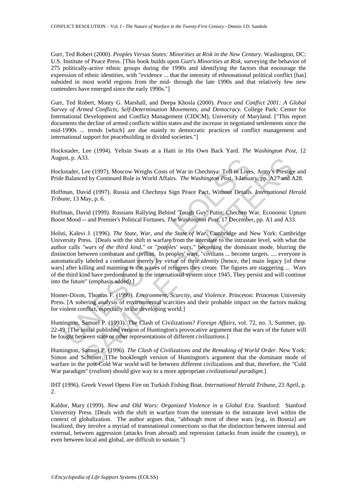Gurr, Ted Robert (2000). *Peoples Versus States: Minorities at Risk in the New Century*. Washington, DC: U.S. Institute of Peace Press. [This book builds upon Gurr's *Minorities at Risk*, surveying the behavior of 275 politically-active ethnic groups during the 1990s and identifying the factors that encourage the expression of ethnic identities, with "evidence ... that the intensity of ethnonational political conflict [has] subsided in most world regions from the mid- through the late 1990s and that relatively few new contenders have emerged since the early 1990s."]

Gurr, Ted Robert, Monty G. Marshall, and Deepa Khosla (2000). *Peace and Conflict 2001: A Global Survey of Armed Conflicts, Self-Determination Movements, and Democracy*. College Park: Center for International Development and Conflict Management (CIDCM), University of Maryland. ["This report documents the decline of armed conflicts within states and the increase in negotiated settlements since the mid-1990s ... trends [which] are due mainly to democratic practices of conflict management and international support for peacebuilding in divided societies."]

Hockstader, Lee (1994). Yeltsin Swats at a Haiti in His Own Back Yard. *The Washington Post*, 12 August, p. A33.

Hockstader, Lee (1997). Moscow Weighs Costs of War in Chechnya: Toll in Lives, Army's Prestige and Pride Balanced by Continued Role in World Affairs. *The Washington Post*, 3 January, pp. A27 and A28.

Hoffman, David (1997). Russia and Chechnya Sign Peace Pact, Without Details. *International Herald Tribune*, 13 May, p. 6.

Hoffman, David (1999). Russians Rallying Behind 'Tough Guy' Putin: Chechen War, Economic Upturn Boost Mood -- and Premier's Political Fortunes. *The Washington Post*, 17 December, pp. A1 and A33.

1st, p. A.3.3.<br>
sts, p. A.3.3.<br>
sts, cstader, Lee (1997). Moscow Weighs Costs of War in Chechnya: Toll in Live<br>
Balanced by Continued Role in World Affairs. *The Washington Post*, 3 Janua<br>
iman, David (1997). Russia and Ch 35.<br>
Lee (1997). Moscow Weighs Costs of War in Chechnya: Toll in Lives, Army's Prestige<br>
de by Continued Role in World Affairs. The Washington Post, 3 January, pp. A27 and A<br>
uyid (1999). Russia and Chechnya Sign Peace Pac Holsti, Kalevi J. (1996). *The State, War, and the State of War*. Cambridge and New York: Cambridge University Press. [Deals with the shift in warfare from the interstate to the intrastate level, with what the author calls *"wars of the third kind,"* or *"peoples' wars,"* becoming the dominant mode, blurring the distinction between combatant and civilian. In peoples' wars, "civilians ... become targets. .... everyone is automatically labeled a combatant merely by virtue of their *identity* [hence, the] main legacy [of these wars] after killing and maiming is the waves of refugees they create. The figures are staggering ... Wars of the third kind have predominated in the international system since 1945. They persist and will continue into the future" (emphasis added).]

Homer-Dixon, Thomas F. (1999). *Environment, Scarcity, and Violence*. Princeton: Princeton University Press. [A sobering analysis of environmental scarcities and their probable impact on the factors making for violent conflict, especially in the developing world.]

Huntington, Samuel P. (1993). The Clash of Civilizations? *Foreign Affairs*, vol. 72, no. 3, Summer, pp. 22-49. [The initial published version of Huntington's provocative argument that the wars of the future will be fought between state or other representations of different *civilizations*.]

Huntington, Samuel P. (1996). *The Clash of Civilizations and the Remaking of World Order*. New York: Simon and Schuster. [The booklength version of Huntington's argument that the dominant mode of warfare in the post-Cold War world will be between different civilizations and that, therefore, the "Cold War paradigm" (*realism*) should give way to a more appropriate *civilizational paradigm*.]

IHT (1996). Greek Vessel Opens Fire on Turkish Fishing Boat. *International Herald Tribune*, 23 April, p. 2.

Kaldor, Mary (1999). *New and Old Wars: Organized Violence in a Global Era*. Stanford: Stanford University Press. [Deals with the shift in warfare from the interstate to the intrastate level within the context of globalization. The author argues that, "although most of these wars [e.g., in Bosnia] are localized, they involve a myriad of transnational connections so that the distinction between internal and external, between aggression (attacks from abroad) and repression (attacks from inside the country), or even between local and global, are difficult to sustain."]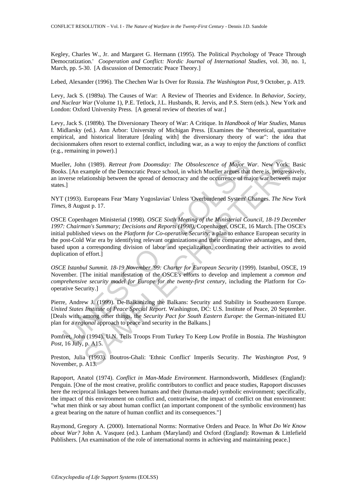Kegley, Charles W., Jr. and Margaret G. Hermann (1995). The Political Psychology of 'Peace Through Democratization.' *Cooperation and Conflict: Nordic Journal of International Studies*, vol. 30, no. 1, March, pp. 5-30. [A discussion of Democratic Peace Theory.]

Lebed, Alexander (1996). The Chechen War Is Over for Russia. *The Washington Post*, 9 October, p. A19.

Levy, Jack S. (1989a). The Causes of War: A Review of Theories and Evidence. In *Behavior, Society, and Nuclear War* (Volume 1), P.E. Tetlock, J.L. Husbands, R. Jervis, and P.S. Stern (eds.). New York and London: Oxford University Press. [A general review of theories of war.]

Levy, Jack S. (1989b). The Diversionary Theory of War: A Critique. In *Handbook of War Studies*, Manus I. Midlarsky (ed.). Ann Arbor: University of Michigan Press. [Examines the "theoretical, quantitative empirical, and historical literature [dealing with] the diversionary theory of war": the idea that decisionmakers often resort to external conflict, including war, as a way to enjoy the *functions* of conflict (e.g., remaining in power).]

Mueller, John (1989). *Retreat from Doomsday: The Obsolescence of Major War*. New York: Basic Books. [An example of the Democratic Peace school, in which Mueller argues that there is, progressively, an inverse relationship between the spread of democracy and the occurrence of major war between major states.]

NYT (1993). Europeans Fear 'Many Yugoslavias' Unless 'Overburdened System' Changes. *The New York Times*, 8 August p. 17.

ller, John (1989). *Retreat from Doomsday: The Obsolescence of Major W*<br>
S. [An example of the Democratic Peace school, in which Mueller argues that<br>
s. [An example of the Democratic Peace school, in which Mueller argues t n (1989). *Retreat from Doomsday: The Obsolescence of Major War*. New York: 1<br>xample of the Democratic Peace school, in which Mueller argues that there is, progressi<br>ationship between the spread of democracy and the occurr OSCE Copenhagen Ministerial (1998). *OSCE Sixth Meeting of the Ministerial Council, 18-19 December 1997: Chairman's Summary; Decisions and Reports (1998)*, Copenhagen, OSCE, 16 March. [The OSCE's initial published views on the *Platform for Co-operative Security*: a plan to enhance European security in the post-Cold War era by identifying relevant organizations and their comparative advantages, and then, based upon a corresponding division of labor and specialization, coordinating their activities to avoid duplication of effort.]

*OSCE Istanbul Summit. 18-19 November '99: Charter for European Security* (1999). Istanbul, OSCE, 19 November. [The initial manifestation of the OSCE's efforts to develop and implement a *common and comprehensive security model for Europe for the twenty-first century*, including the Platform for Cooperative Security.]

Pierre, Andrew J. (1999). De-Balkanizing the Balkans: Security and Stability in Southeastern Europe. *United States Institute of Peace Special Report*. Washington, DC: U.S. Institute of Peace, 20 September. [Deals with, among other things, the *Security Pact for South Eastern Europe*: the German-initiated EU plan for a *regional* approach to peace and security in the Balkans.]

Pomfret, John (1994). U.N. Tells Troops From Turkey To Keep Low Profile in Bosnia. *The Washington Post*, 16 July, p. A15.

Preston, Julia (1993). Boutros-Ghali: 'Ethnic Conflict' Imperils Security. *The Washington Post*, 9 November, p. A13.

Rapoport, Anatol (1974). *Conflict in Man-Made Environment*. Harmondsworth, Middlesex (England): Penguin. [One of the most creative, prolific contributors to conflict and peace studies, Rapoport discusses here the reciprocal linkages between humans and their (human-made) symbolic environment; specifically, the impact of this environment on conflict and, contrariwise, the impact of conflict on that environment: "what men think or say about human conflict (an important component of the symbolic environment) has a great bearing on the nature of human conflict and its consequences."]

Raymond, Gregory A. (2000). International Norms: Normative Orders and Peace. In *What Do We Know about War?* John A. Vasquez (ed.). Lanham (Maryland) and Oxford (England): Rowman & Littlefield Publishers. [An examination of the role of international norms in achieving and maintaining peace.]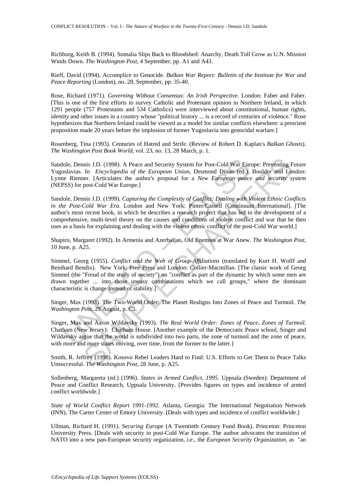Richburg, Keith B. (1994). Somalia Slips Back to Bloodshed: Anarchy, Death Toll Grow as U.N. Mission Winds Down. *The Washington Post*, 4 September, pp. A1 and A43.

Rieff, David (1994). Accomplice to Genocide. *Balkan War Report: Bulletin of the Institute for War and Peace Reporting* (London), no. 28, September, pp. 35-40.

Rose, Richard (1971). *Governing Without Consensus: An Irish Perspective*. London: Faber and Faber. [This is one of the first efforts to survey Catholic and Protestant opinion in Northern Ireland, in which 1291 people (757 Protestants and 534 Catholics) were interviewed about constitutional, human rights, *identity* and other issues in a country whose "political history ... is a record of centuries of violence." Rose hypothesizes that Northern Ireland could be viewed as a model for similar conflicts elsewhere: a prescient proposition made 20 years before the implosion of former Yugoslavia into genocidal warfare.]

Rosenberg, Tina (1993). Centuries of Hatred and Strife. (Review of Robert D. Kaplan's *Balkan Ghosts*). *The Washington Post Book World*, vol. 23, no. 13, 28 March, p. 1.

Sandole, Dennis J.D. (1998). A Peace and Security System for Post-Cold War Europe: Preventing Future Yugoslavias. In *Encyclopedia of the European Union*, Desmond Dinan (ed.). Boulder and London: Lynne Rienner. [Articulates the author's proposal for a *New European peace and security system* (NEPSS) for post-Cold War Europe.]

lole, Dennis J.D. (1998). A Peace and Security System for Post-Cold War Eurolsavias. In *Encyclopedia of the European Union*, Desmond Dinan (ed.), else Rienner. [Articulates the author's proposal for a *New European peace* nis J.D. (1998). A Peace and Security System for Post-Cold War Europe: Preyenting F<br>In *Encyclopedia of the European Union*, Desmond Dinan (ed.), Boulder and Lot<br>ner. (Articulates the author's proposal for a *New European* Sandole, Dennis J.D. (1999). *Capturing the Complexity of Conflict: Dealing with Violent Ethnic Conflicts in the Post-Cold War Era*. London and New York: Pinter/Cassell [Continuum International]. [The author's most recent book, in which he describes a research project that has led to the development of a comprehensive, multi-level theory on the causes and conditions of violent conflict and war that he then uses as a basis for explaining *and* dealing with the violent ethnic conflict of the post-Cold War world.]

Shapiro, Margaret (1992). In Armenia and Azerbaijan, Old Enemies at War Anew. *The Washington Post*, 10 June, p. A25.

Simmel, Georg (1955). *Conflict and the Web of Group-Affiliations* (translated by Kurt H. Wolff and Reinhard Bendix). New York: Free Press and London: Collier-Macmillan. [The classic work of Georg Simmel (the "Freud of the study of society") on "conflict as part of the dynamic by which some men are drawn together ... into those uneasy combinations which we call groups," where the dominant characteristic is change instead of stability.]

Singer, Max (1993). The Two-World Order: The Planet Realigns Into Zones of Peace and Turmoil. *The Washington Post*, 29 August, p. C5.

Singer, Max and Aaron Wildavsky (1993). *The Real World Order: Zones of Peace, Zones of Turmoil*. Chatham (New Jersey): Chatham House. [Another example of the Democratic Peace school, Singer and Wildavsky argue that the world is subdivided into two parts, the zone of turmoil and the zone of peace, with more and more states moving, over time, from the former to the latter.]

Smith, R. Jeffrey (1998). Kosovo Rebel Leaders Hard to Find: U.S. Efforts to Get Them to Peace Talks Unsuccessful. *The Washington Post*, 28 June, p. A25.

Sollenberg, Margareta (ed.) (1996). *States in Armed Conflict, 1995*. Uppsala (Sweden): Department of Peace and Conflict Research, Uppsala University. [Provides figures on types and incidence of armed conflict worldwide.]

*State of World Conflict Report 1991-1992*. Atlanta, Georgia: The International Negotiation Network (INN), The Carter Center of Emory University. [Deals with types and incidence of conflict worldwide.]

Ullman, Richard H. (1991). *Securing Europe* (A Twentieth Century Fund Book). Princeton: Princeton University Press. [Deals with security in post-Cold War Europe. The author advocates the transition of NATO into a new pan-European security organization, i.e., the *European Security Organization*, as "an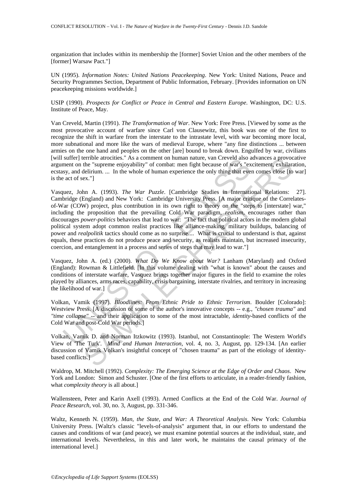organization that includes within its membership the [former] Soviet Union and the other members of the [former] Warsaw Pact."]

UN (1995). *Information Notes: United Nations Peacekeeping*. New York: United Nations, Peace and Security Programmes Section, Department of Public Information, February. [Provides information on UN peacekeeping missions worldwide.]

USIP (1990). *Prospects for Conflict or Peace in Central and Eastern Europe*. Washington, DC: U.S. Institute of Peace, May.

Van Creveld, Martin (1991). *The Transformation of War*. New York: Free Press. [Viewed by some as the most provocative account of warfare since Carl von Clausewitz, this book was one of the first to recognize the shift in warfare from the interstate to the intrastate level, with war becoming more local, more subnational and more like the wars of medieval Europe, where "any fine distinctions ... between armies on the one hand and peoples on the other [are] bound to break down. Engulfed by war, civilians [will suffer] terrible atrocities." As a comment on human nature, van Creveld also advances a provocative argument on the "supreme enjoyability" of combat: men fight because of war's "excitement, exhilaration, ecstasy, and delirium. ... In the whole of human experience the only thing that even comes close [to war] is the act of sex."]

surer permole arousties. As a comment on numan name, van crevel as as comment on the "superne enjoyability" of combat: men fight because of war's "ex<br>sy, and delirium. ... In the whole of human experience the only thing th ernothe atrockless." As a comment on human nature, van Creveld also advances a provocal<br>for "supreme enjoyability" of combat: men fight because of war's "excitement exhilare<br>elitium.... In the whole of human experience th Vasquez, John A. (1993). *The War Puzzle*. [Cambridge Studies in International Relations: 27]. Cambridge (England) and New York: Cambridge University Press. [A major critique of the Correlatesof-War (COW) project, plus contribution in its own right to theory on the "steps to [interstate] war," including the proposition that the prevailing Cold War paradigm, *realism*, encourages rather than discourages *power-politics* behaviors that lead to war: "The fact that political actors in the modern global political system adopt common realist practices like alliance-making, military buildups, balancing of power and *realpolitik* tactics should come as no surprise.... What is crucial to understand is that, against equals, these practices do not produce peace and security, as realists maintain, but increased insecurity, coercion, and entanglement in a process and series of steps that may lead to war."]

Vasquez, John A. (ed.) (2000). *What Do We Know about War?* Lanham (Maryland) and Oxford (England): Rowman & Littlefield. [In this volume dealing with "what is known" about the causes and conditions of interstate warfare, Vasquez brings together major figures in the field to examine the roles played by alliances, arms races, capability, crisis bargaining, interstate rivalries, and territory in increasing the likelihood of war.]

Volkan, Vamik (1997). *Bloodlines: From Ethnic Pride to Ethnic Terrorism*. Boulder [Colorado]: Westview Press. [A discussion of some of the author's innovative concepts -- e.g., *"chosen trauma"* and *"time collapse"* -- and their application to some of the most intractable, *identity*-based conflicts of the Cold War and post-Cold War periods.]

Volkan, Vamik D. and Norman Itzkowitz (1993). Istanbul, not Constantinople: The Western World's View of 'The Turk'. *Mind and Human Interaction*, vol. 4, no. 3, August, pp. 129-134. [An earlier discussion of Vamik Volkan's insightful concept of "chosen trauma" as part of the etiology of identitybased conflicts.]

Waldrop, M. Mitchell (1992). *Complexity: The Emerging Science at the Edge of Order and Chaos*. New York and London: Simon and Schuster. [One of the first efforts to articulate, in a reader-friendly fashion, what *complexity theory* is all about.]

Wallensteen, Peter and Karin Axell (1993). Armed Conflicts at the End of the Cold War. *Journal of Peace Research*, vol. 30, no. 3, August, pp. 331-346.

Waltz, Kenneth N. (1959). *Man, the State, and War: A Theoretical Analysis*. New York: Columbia University Press. [Waltz's classic "levels-of-analysis" argument that, in our efforts to understand the causes and conditions of war (and peace), we must examine potential sources at the individual, state, and international levels. Nevertheless, in this and later work, he maintains the causal primacy of the international level.]